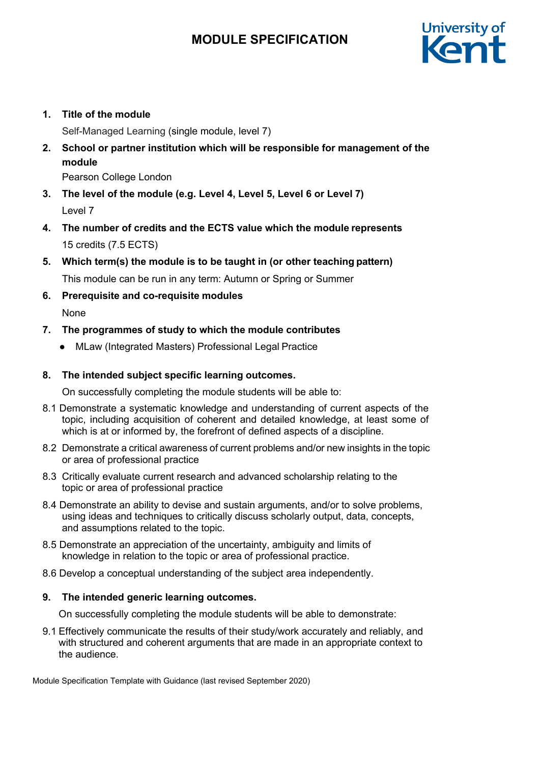

### **1. Title of the module**

Self-Managed Learning (single module, level 7)

**2. School or partner institution which will be responsible for management of the module**

Pearson College London

- **3. The level of the module (e.g. Level 4, Level 5, Level 6 or Level 7)** Level 7
- **4. The number of credits and the ECTS value which the module represents** 15 credits (7.5 ECTS)
- **5. Which term(s) the module is to be taught in (or other teaching pattern)** This module can be run in any term: Autumn or Spring or Summer
- **6. Prerequisite and co-requisite modules**

None

- **7. The programmes of study to which the module contributes**
	- MLaw (Integrated Masters) Professional Legal Practice

### **8. The intended subject specific learning outcomes.**

On successfully completing the module students will be able to:

- 8.1 Demonstrate a systematic knowledge and understanding of current aspects of the topic, including acquisition of coherent and detailed knowledge, at least some of which is at or informed by, the forefront of defined aspects of a discipline.
- 8.2 Demonstrate a critical awareness of current problems and/or new insights in the topic or area of professional practice
- 8.3 Critically evaluate current research and advanced scholarship relating to the topic or area of professional practice
- 8.4 Demonstrate an ability to devise and sustain arguments, and/or to solve problems, using ideas and techniques to critically discuss scholarly output, data, concepts, and assumptions related to the topic.
- 8.5 Demonstrate an appreciation of the uncertainty, ambiguity and limits of knowledge in relation to the topic or area of professional practice.
- 8.6 Develop a conceptual understanding of the subject area independently.

### **9. The intended generic learning outcomes.**

On successfully completing the module students will be able to demonstrate:

9.1 Effectively communicate the results of their study/work accurately and reliably, and with structured and coherent arguments that are made in an appropriate context to the audience.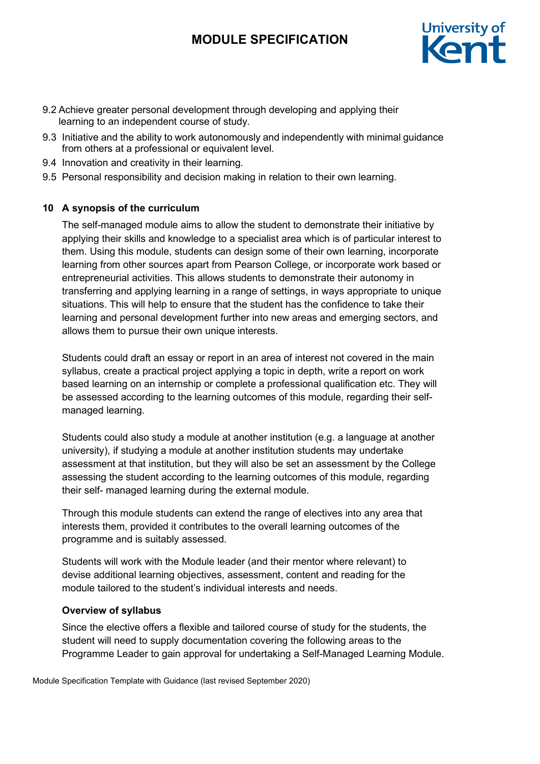

- 9.2 Achieve greater personal development through developing and applying their learning to an independent course of study.
- 9.3 Initiative and the ability to work autonomously and independently with minimal guidance from others at a professional or equivalent level.
- 9.4 Innovation and creativity in their learning.
- 9.5 Personal responsibility and decision making in relation to their own learning.

### **10 A synopsis of the curriculum**

The self-managed module aims to allow the student to demonstrate their initiative by applying their skills and knowledge to a specialist area which is of particular interest to them. Using this module, students can design some of their own learning, incorporate learning from other sources apart from Pearson College, or incorporate work based or entrepreneurial activities. This allows students to demonstrate their autonomy in transferring and applying learning in a range of settings, in ways appropriate to unique situations. This will help to ensure that the student has the confidence to take their learning and personal development further into new areas and emerging sectors, and allows them to pursue their own unique interests.

Students could draft an essay or report in an area of interest not covered in the main syllabus, create a practical project applying a topic in depth, write a report on work based learning on an internship or complete a professional qualification etc. They will be assessed according to the learning outcomes of this module, regarding their selfmanaged learning.

Students could also study a module at another institution (e.g. a language at another university), if studying a module at another institution students may undertake assessment at that institution, but they will also be set an assessment by the College assessing the student according to the learning outcomes of this module, regarding their self- managed learning during the external module.

Through this module students can extend the range of electives into any area that interests them, provided it contributes to the overall learning outcomes of the programme and is suitably assessed.

Students will work with the Module leader (and their mentor where relevant) to devise additional learning objectives, assessment, content and reading for the module tailored to the student's individual interests and needs.

### **Overview of syllabus**

Since the elective offers a flexible and tailored course of study for the students, the student will need to supply documentation covering the following areas to the Programme Leader to gain approval for undertaking a Self-Managed Learning Module.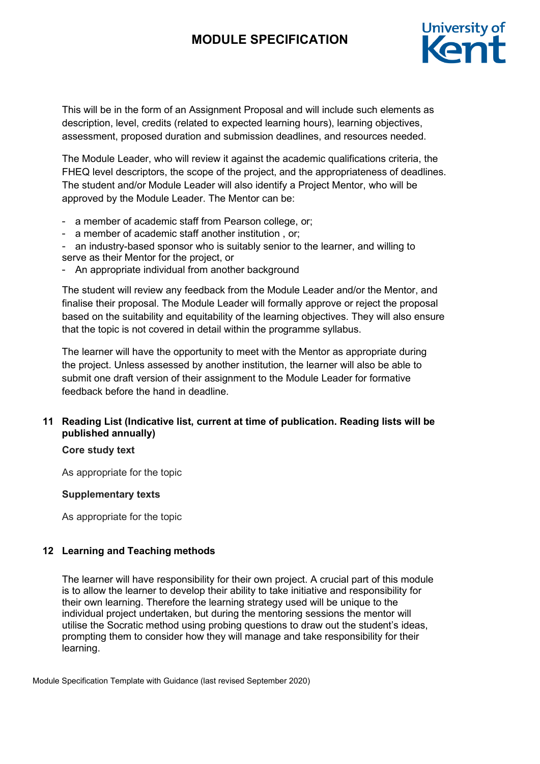

This will be in the form of an Assignment Proposal and will include such elements as description, level, credits (related to expected learning hours), learning objectives, assessment, proposed duration and submission deadlines, and resources needed.

The Module Leader, who will review it against the academic qualifications criteria, the FHEQ level descriptors, the scope of the project, and the appropriateness of deadlines. The student and/or Module Leader will also identify a Project Mentor, who will be approved by the Module Leader. The Mentor can be:

- a member of academic staff from Pearson college, or;
- a member of academic staff another institution , or;
- an industry-based sponsor who is suitably senior to the learner, and willing to serve as their Mentor for the project, or
- An appropriate individual from another background

The student will review any feedback from the Module Leader and/or the Mentor, and finalise their proposal. The Module Leader will formally approve or reject the proposal based on the suitability and equitability of the learning objectives. They will also ensure that the topic is not covered in detail within the programme syllabus.

The learner will have the opportunity to meet with the Mentor as appropriate during the project. Unless assessed by another institution, the learner will also be able to submit one draft version of their assignment to the Module Leader for formative feedback before the hand in deadline.

### **11 Reading List (Indicative list, current at time of publication. Reading lists will be published annually)**

#### **Core study text**

As appropriate for the topic

#### **Supplementary texts**

As appropriate for the topic

### **12 Learning and Teaching methods**

The learner will have responsibility for their own project. A crucial part of this module is to allow the learner to develop their ability to take initiative and responsibility for their own learning. Therefore the learning strategy used will be unique to the individual project undertaken, but during the mentoring sessions the mentor will utilise the Socratic method using probing questions to draw out the student's ideas, prompting them to consider how they will manage and take responsibility for their learning.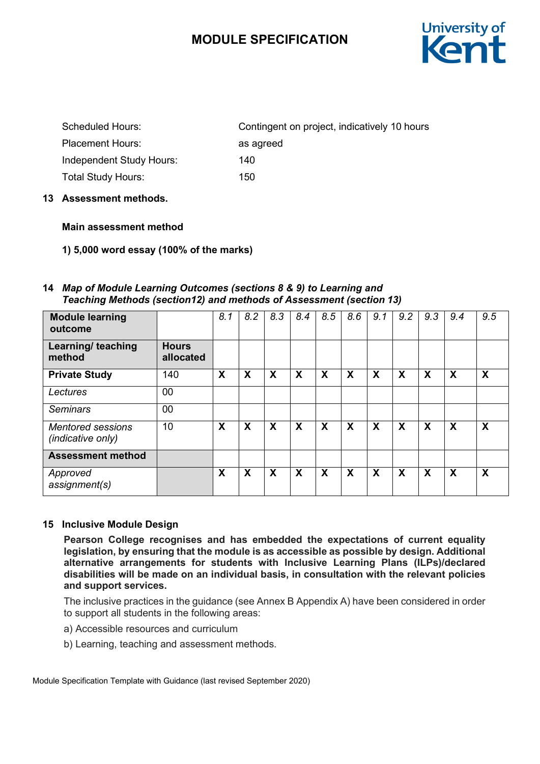

| <b>Scheduled Hours:</b>   | Contingent on project, indicatively 10 hours |
|---------------------------|----------------------------------------------|
| <b>Placement Hours:</b>   | as agreed                                    |
| Independent Study Hours:  | 140                                          |
| <b>Total Study Hours:</b> | 150.                                         |

**13 Assessment methods.**

### **Main assessment method**

**1) 5,000 word essay (100% of the marks)**

#### **14** *Map of Module Learning Outcomes (sections 8 & 9) to Learning and Teaching Methods (section12) and methods of Assessment (section 13)*

| <b>Module learning</b><br>outcome             |                           | 8.1 | 8.2                       | 8.3                       | 8.4 | 8.5 | 8.6 | 9.1 | 9.2 | 9.3 | 9.4                       | 9.5 |
|-----------------------------------------------|---------------------------|-----|---------------------------|---------------------------|-----|-----|-----|-----|-----|-----|---------------------------|-----|
| Learning/ teaching<br>method                  | <b>Hours</b><br>allocated |     |                           |                           |     |     |     |     |     |     |                           |     |
| <b>Private Study</b>                          | 140                       | X   | X                         | $\boldsymbol{\mathsf{X}}$ | X   | X   | X   | X   | X   | X   | $\boldsymbol{\mathsf{X}}$ | X   |
| Lectures                                      | 00                        |     |                           |                           |     |     |     |     |     |     |                           |     |
| <b>Seminars</b>                               | 00                        |     |                           |                           |     |     |     |     |     |     |                           |     |
| <b>Mentored sessions</b><br>(indicative only) | 10                        | X   | $\boldsymbol{\mathsf{X}}$ | $\boldsymbol{\mathsf{X}}$ | X   | X   | X   | X   | X   | X   | X                         | X   |
| <b>Assessment method</b>                      |                           |     |                           |                           |     |     |     |     |     |     |                           |     |
| Approved<br>assignment(s)                     |                           | X   | X                         | X                         | X   | X   | X   | X   | X   | X   | X                         | X   |

### **15 Inclusive Module Design**

**Pearson College recognises and has embedded the expectations of current equality legislation, by ensuring that the module is as accessible as possible by design. Additional alternative arrangements for students with Inclusive Learning Plans (ILPs)/declared disabilities will be made on an individual basis, in consultation with the relevant policies and support services.**

The inclusive practices in the guidance (see Annex B Appendix A) have been considered in order to support all students in the following areas:

- a) Accessible resources and curriculum
- b) Learning, teaching and assessment methods.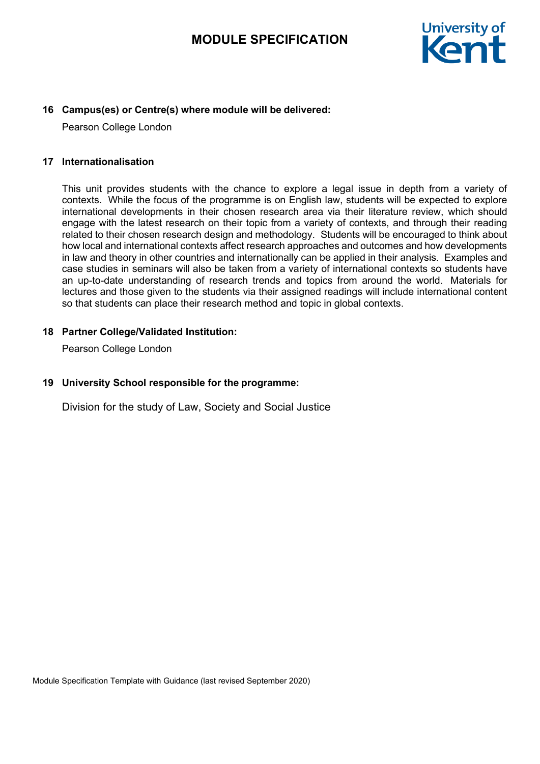

### **16 Campus(es) or Centre(s) where module will be delivered:**

Pearson College London

#### **17 Internationalisation**

This unit provides students with the chance to explore a legal issue in depth from a variety of contexts. While the focus of the programme is on English law, students will be expected to explore international developments in their chosen research area via their literature review, which should engage with the latest research on their topic from a variety of contexts, and through their reading related to their chosen research design and methodology. Students will be encouraged to think about how local and international contexts affect research approaches and outcomes and how developments in law and theory in other countries and internationally can be applied in their analysis. Examples and case studies in seminars will also be taken from a variety of international contexts so students have an up-to-date understanding of research trends and topics from around the world. Materials for lectures and those given to the students via their assigned readings will include international content so that students can place their research method and topic in global contexts.

#### **18 Partner College/Validated Institution:**

Pearson College London

### **19 University School responsible for the programme:**

Division for the study of Law, Society and Social Justice